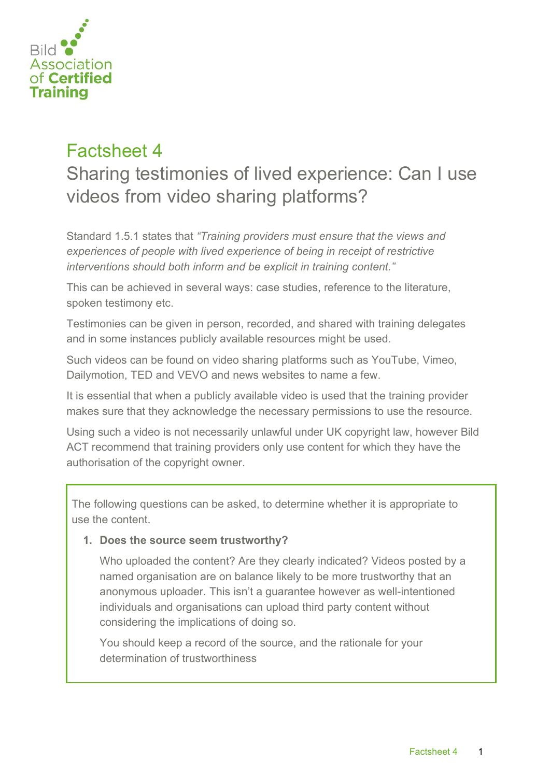

## Factsheet 4 Sharing testimonies of lived experience: Can I use videos from video sharing platforms?

Standard 1.5.1 states that *"Training providers must ensure that the views and experiences of people with lived experience of being in receipt of restrictive interventions should both inform and be explicit in training content."*

This can be achieved in several ways: case studies, reference to the literature, spoken testimony etc.

Testimonies can be given in person, recorded, and shared with training delegates and in some instances publicly available resources might be used.

Such videos can be found on video sharing platforms such as YouTube, Vimeo, Dailymotion, TED and VEVO and news websites to name a few.

It is essential that when a publicly available video is used that the training provider makes sure that they acknowledge the necessary permissions to use the resource.

Using such a video is not necessarily unlawful under UK copyright law, however Bild ACT recommend that training providers only use content for which they have the authorisation of the copyright owner.

The following questions can be asked, to determine whether it is appropriate to use the content.

## **1. Does the source seem trustworthy?**

Who uploaded the content? Are they clearly indicated? Videos posted by a named organisation are on balance likely to be more trustworthy that an anonymous uploader. This isn't a guarantee however as well-intentioned individuals and organisations can upload third party content without considering the implications of doing so.

You should keep a record of the source, and the rationale for your determination of trustworthiness